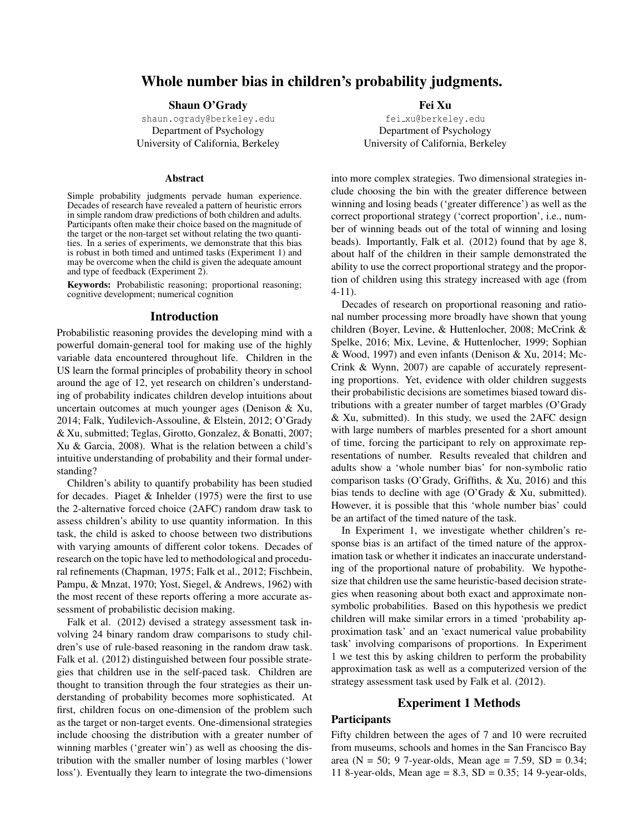# Whole number bias in children's probability judgments.

### Shaun O'Grady

shaun.ogrady@berkeley.edu Department of Psychology University of California, Berkeley

#### Abstract

Simple probability judgments pervade human experience. Decades of research have revealed a pattern of heuristic errors in simple random draw predictions of both children and adults. Participants often make their choice based on the magnitude of the target or the non-target set without relating the two quantities. In a series of experiments, we demonstrate that this bias is robust in both timed and untimed tasks (Experiment 1) and may be overcome when the child is given the adequate amount and type of feedback (Experiment 2).

Keywords: Probabilistic reasoning; proportional reasoning; cognitive development; numerical cognition

### Introduction

Probabilistic reasoning provides the developing mind with a powerful domain-general tool for making use of the highly variable data encountered throughout life. Children in the US learn the formal principles of probability theory in school around the age of 12, yet research on children's understanding of probability indicates children develop intuitions about uncertain outcomes at much younger ages (Denison & Xu, 2014; Falk, Yudilevich-Assouline, & Elstein, 2012; O'Grady & Xu, submitted; Teglas, Girotto, Gonzalez, & Bonatti, 2007; Xu & Garcia, 2008). What is the relation between a child's intuitive understanding of probability and their formal understanding?

Children's ability to quantify probability has been studied for decades. Piaget & Inhelder (1975) were the first to use the 2-alternative forced choice (2AFC) random draw task to assess children's ability to use quantity information. In this task, the child is asked to choose between two distributions with varying amounts of different color tokens. Decades of research on the topic have led to methodological and procedural refinements (Chapman, 1975; Falk et al., 2012; Fischbein, Pampu, & Mnzat, 1970; Yost, Siegel, & Andrews, 1962) with the most recent of these reports offering a more accurate assessment of probabilistic decision making.

Falk et al. (2012) devised a strategy assessment task involving 24 binary random draw comparisons to study children's use of rule-based reasoning in the random draw task. Falk et al. (2012) distinguished between four possible strategies that children use in the self-paced task. Children are thought to transition through the four strategies as their understanding of probability becomes more sophisticated. At first, children focus on one-dimension of the problem such as the target or non-target events. One-dimensional strategies include choosing the distribution with a greater number of winning marbles ('greater win') as well as choosing the distribution with the smaller number of losing marbles ('lower loss'). Eventually they learn to integrate the two-dimensions Fei Xu

fei xu@berkeley.edu Department of Psychology University of California, Berkeley

into more complex strategies. Two dimensional strategies include choosing the bin with the greater difference between winning and losing beads ('greater difference') as well as the correct proportional strategy ('correct proportion', i.e., number of winning beads out of the total of winning and losing beads). Importantly, Falk et al. (2012) found that by age 8, about half of the children in their sample demonstrated the ability to use the correct proportional strategy and the proportion of children using this strategy increased with age (from 4-11).

Decades of research on proportional reasoning and rational number processing more broadly have shown that young children (Boyer, Levine, & Huttenlocher, 2008; McCrink & Spelke, 2016; Mix, Levine, & Huttenlocher, 1999; Sophian & Wood, 1997) and even infants (Denison & Xu, 2014; Mc-Crink & Wynn, 2007) are capable of accurately representing proportions. Yet, evidence with older children suggests their probabilistic decisions are sometimes biased toward distributions with a greater number of target marbles (O'Grady & Xu, submitted). In this study, we used the 2AFC design with large numbers of marbles presented for a short amount of time, forcing the participant to rely on approximate representations of number. Results revealed that children and adults show a 'whole number bias' for non-symbolic ratio comparison tasks (O'Grady, Griffiths, & Xu, 2016) and this bias tends to decline with age (O'Grady & Xu, submitted). However, it is possible that this 'whole number bias' could be an artifact of the timed nature of the task.

In Experiment 1, we investigate whether children's response bias is an artifact of the timed nature of the approximation task or whether it indicates an inaccurate understanding of the proportional nature of probability. We hypothesize that children use the same heuristic-based decision strategies when reasoning about both exact and approximate nonsymbolic probabilities. Based on this hypothesis we predict children will make similar errors in a timed 'probability approximation task' and an 'exact numerical value probability task' involving comparisons of proportions. In Experiment 1 we test this by asking children to perform the probability approximation task as well as a computerized version of the strategy assessment task used by Falk et al. (2012).

#### Experiment 1 Methods

### **Participants**

Fifty children between the ages of 7 and 10 were recruited from museums, schools and homes in the San Francisco Bay area (N = 50; 9 7-year-olds, Mean age = 7.59, SD = 0.34; 11 8-year-olds, Mean age = 8.3, SD = 0.35; 14 9-year-olds,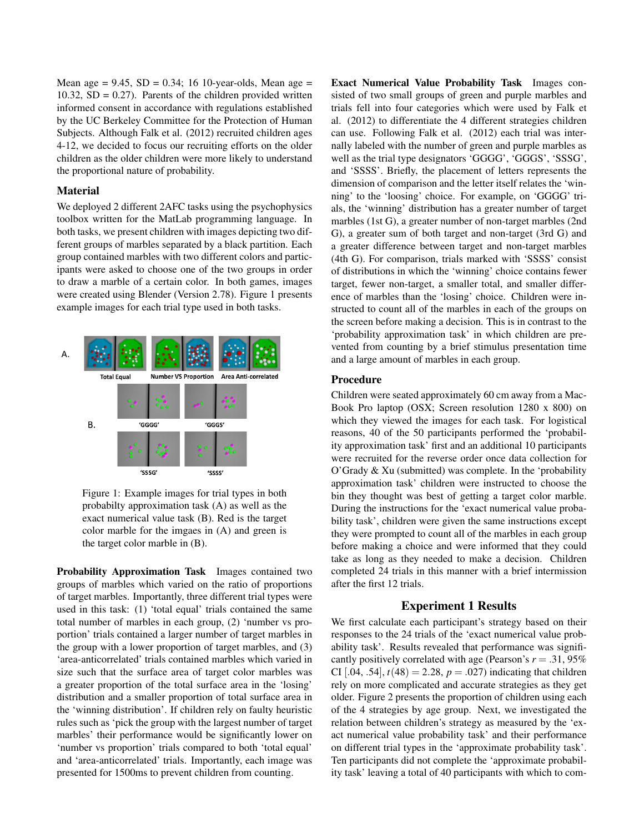Mean age =  $9.45$ , SD =  $0.34$ ; 16 10-year-olds, Mean age = 10.32,  $SD = 0.27$ ). Parents of the children provided written informed consent in accordance with regulations established by the UC Berkeley Committee for the Protection of Human Subjects. Although Falk et al. (2012) recruited children ages 4-12, we decided to focus our recruiting efforts on the older children as the older children were more likely to understand the proportional nature of probability.

### Material

We deployed 2 different 2AFC tasks using the psychophysics toolbox written for the MatLab programming language. In both tasks, we present children with images depicting two different groups of marbles separated by a black partition. Each group contained marbles with two different colors and participants were asked to choose one of the two groups in order to draw a marble of a certain color. In both games, images were created using Blender (Version 2.78). Figure 1 presents example images for each trial type used in both tasks.



Figure 1: Example images for trial types in both probabilty approximation task (A) as well as the exact numerical value task (B). Red is the target color marble for the imgaes in (A) and green is the target color marble in (B).

Probability Approximation Task Images contained two groups of marbles which varied on the ratio of proportions of target marbles. Importantly, three different trial types were used in this task: (1) 'total equal' trials contained the same total number of marbles in each group, (2) 'number vs proportion' trials contained a larger number of target marbles in the group with a lower proportion of target marbles, and (3) 'area-anticorrelated' trials contained marbles which varied in size such that the surface area of target color marbles was a greater proportion of the total surface area in the 'losing' distribution and a smaller proportion of total surface area in the 'winning distribution'. If children rely on faulty heuristic rules such as 'pick the group with the largest number of target marbles' their performance would be significantly lower on 'number vs proportion' trials compared to both 'total equal' and 'area-anticorrelated' trials. Importantly, each image was presented for 1500ms to prevent children from counting.

Exact Numerical Value Probability Task Images consisted of two small groups of green and purple marbles and trials fell into four categories which were used by Falk et al. (2012) to differentiate the 4 different strategies children can use. Following Falk et al. (2012) each trial was internally labeled with the number of green and purple marbles as well as the trial type designators 'GGGG', 'GGGS', 'SSSG', and 'SSSS'. Briefly, the placement of letters represents the dimension of comparison and the letter itself relates the 'winning' to the 'loosing' choice. For example, on 'GGGG' trials, the 'winning' distribution has a greater number of target marbles (1st G), a greater number of non-target marbles (2nd G), a greater sum of both target and non-target (3rd G) and a greater difference between target and non-target marbles (4th G). For comparison, trials marked with 'SSSS' consist of distributions in which the 'winning' choice contains fewer target, fewer non-target, a smaller total, and smaller difference of marbles than the 'losing' choice. Children were instructed to count all of the marbles in each of the groups on the screen before making a decision. This is in contrast to the 'probability approximation task' in which children are prevented from counting by a brief stimulus presentation time and a large amount of marbles in each group.

### Procedure

Children were seated approximately 60 cm away from a Mac-Book Pro laptop (OSX; Screen resolution 1280 x 800) on which they viewed the images for each task. For logistical reasons, 40 of the 50 participants performed the 'probability approximation task' first and an additional 10 participants were recruited for the reverse order once data collection for O'Grady & Xu (submitted) was complete. In the 'probability approximation task' children were instructed to choose the bin they thought was best of getting a target color marble. During the instructions for the 'exact numerical value probability task', children were given the same instructions except they were prompted to count all of the marbles in each group before making a choice and were informed that they could take as long as they needed to make a decision. Children completed 24 trials in this manner with a brief intermission after the first 12 trials.

### Experiment 1 Results

We first calculate each participant's strategy based on their responses to the 24 trials of the 'exact numerical value probability task'. Results revealed that performance was significantly positively correlated with age (Pearson's  $r = .31,95\%$ ) CI [.04, .54],  $t(48) = 2.28$ ,  $p = .027$ ) indicating that children rely on more complicated and accurate strategies as they get older. Figure 2 presents the proportion of children using each of the 4 strategies by age group. Next, we investigated the relation between children's strategy as measured by the 'exact numerical value probability task' and their performance on different trial types in the 'approximate probability task'. Ten participants did not complete the 'approximate probability task' leaving a total of 40 participants with which to com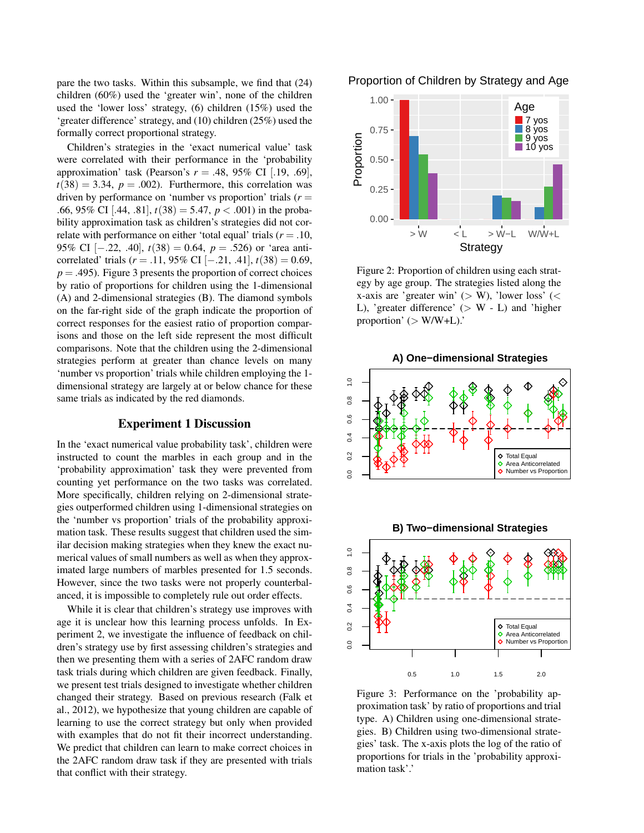pare the two tasks. Within this subsample, we find that (24) children (60%) used the 'greater win', none of the children used the 'lower loss' strategy, (6) children (15%) used the 'greater difference' strategy, and (10) children (25%) used the formally correct proportional strategy.

Children's strategies in the 'exact numerical value' task were correlated with their performance in the 'probability approximation' task (Pearson's  $r = .48, 95\%$  CI [.19, .69],  $t(38) = 3.34$ ,  $p = .002$ ). Furthermore, this correlation was driven by performance on 'number vs proportion' trials  $(r =$ .66, 95% CI [.44, .81],  $t(38) = 5.47$ ,  $p < .001$ ) in the probability approximation task as children's strategies did not correlate with performance on either 'total equal' trials (*r* = .10, 95% CI [−.22, .40],  $t(38) = 0.64$ ,  $p = .526$ ) or 'area anticorrelated' trials ( $r = .11, 95\%$  CI [−.21, .41],  $t(38) = 0.69$ ,  $p = .495$ ). Figure 3 presents the proportion of correct choices by ratio of proportions for children using the 1-dimensional (A) and 2-dimensional strategies (B). The diamond symbols on the far-right side of the graph indicate the proportion of correct responses for the easiest ratio of proportion comparisons and those on the left side represent the most difficult comparisons. Note that the children using the 2-dimensional strategies perform at greater than chance levels on many 'number vs proportion' trials while children employing the 1 dimensional strategy are largely at or below chance for these same trials as indicated by the red diamonds.

### Experiment 1 Discussion

In the 'exact numerical value probability task', children were instructed to count the marbles in each group and in the 'probability approximation' task they were prevented from counting yet performance on the two tasks was correlated. More specifically, children relying on 2-dimensional strategies outperformed children using 1-dimensional strategies on the 'number vs proportion' trials of the probability approximation task. These results suggest that children used the similar decision making strategies when they knew the exact numerical values of small numbers as well as when they approximated large numbers of marbles presented for 1.5 seconds. However, since the two tasks were not properly counterbalanced, it is impossible to completely rule out order effects.

While it is clear that children's strategy use improves with age it is unclear how this learning process unfolds. In Experiment 2, we investigate the influence of feedback on children's strategy use by first assessing children's strategies and then we presenting them with a series of 2AFC random draw task trials during which children are given feedback. Finally, we present test trials designed to investigate whether children changed their strategy. Based on previous research (Falk et al., 2012), we hypothesize that young children are capable of learning to use the correct strategy but only when provided with examples that do not fit their incorrect understanding. We predict that children can learn to make correct choices in the 2AFC random draw task if they are presented with trials that conflict with their strategy.





Figure 2: Proportion of children using each strategy by age group. The strategies listed along the x-axis are 'greater win' ( $>$  W), 'lower loss' ( $<$ L), 'greater difference'  $(> W - L)$  and 'higher proportion' ( $>$  W/W+L).'



Figure 3: Performance on the 'probability approximation task' by ratio of proportions and trial type. A) Children using one-dimensional strategies. B) Children using two-dimensional strategies' task. The x-axis plots the log of the ratio of proportions for trials in the 'probability approximation task'.'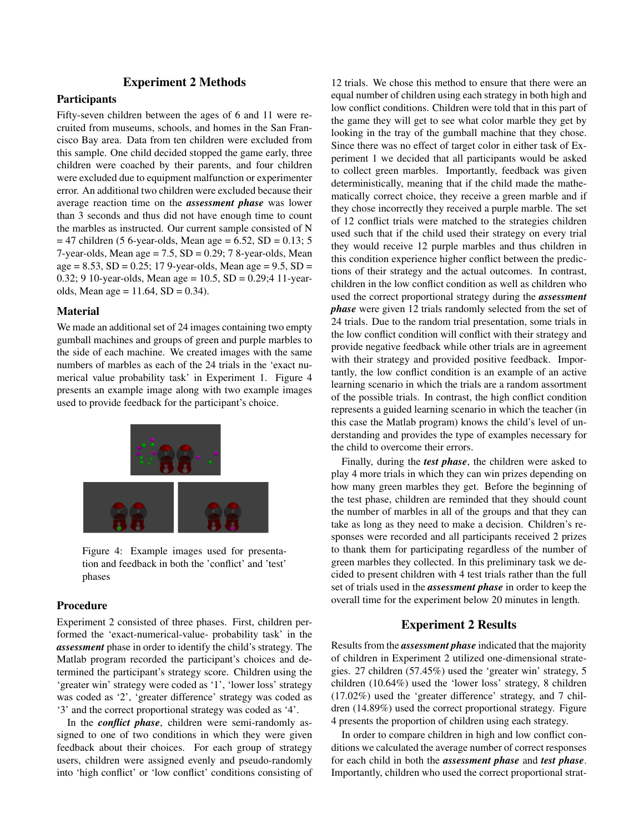## Experiment 2 Methods

# **Participants**

Fifty-seven children between the ages of 6 and 11 were recruited from museums, schools, and homes in the San Francisco Bay area. Data from ten children were excluded from this sample. One child decided stopped the game early, three children were coached by their parents, and four children were excluded due to equipment malfunction or experimenter error. An additional two children were excluded because their average reaction time on the *assessment phase* was lower than 3 seconds and thus did not have enough time to count the marbles as instructed. Our current sample consisted of N  $= 47$  children (5 6-year-olds, Mean age  $= 6.52$ , SD  $= 0.13$ ; 5 7-year-olds, Mean age  $= 7.5$ , SD  $= 0.29$ ; 7 8-year-olds, Mean  $age = 8.53$ ,  $SD = 0.25$ ; 17 9-year-olds, Mean age = 9.5,  $SD =$ 0.32; 9 10-year-olds, Mean age =  $10.5$ , SD = 0.29;4 11-yearolds, Mean age =  $11.64$ , SD = 0.34).

### Material

We made an additional set of 24 images containing two empty gumball machines and groups of green and purple marbles to the side of each machine. We created images with the same numbers of marbles as each of the 24 trials in the 'exact numerical value probability task' in Experiment 1. Figure 4 presents an example image along with two example images used to provide feedback for the participant's choice.



Figure 4: Example images used for presentation and feedback in both the 'conflict' and 'test' phases

### Procedure

Experiment 2 consisted of three phases. First, children performed the 'exact-numerical-value- probability task' in the *assessment* phase in order to identify the child's strategy. The Matlab program recorded the participant's choices and determined the participant's strategy score. Children using the 'greater win' strategy were coded as '1', 'lower loss' strategy was coded as '2', 'greater difference' strategy was coded as '3' and the correct proportional strategy was coded as '4'.

In the *conflict phase*, children were semi-randomly assigned to one of two conditions in which they were given feedback about their choices. For each group of strategy users, children were assigned evenly and pseudo-randomly into 'high conflict' or 'low conflict' conditions consisting of

12 trials. We chose this method to ensure that there were an equal number of children using each strategy in both high and low conflict conditions. Children were told that in this part of the game they will get to see what color marble they get by looking in the tray of the gumball machine that they chose. Since there was no effect of target color in either task of Experiment 1 we decided that all participants would be asked to collect green marbles. Importantly, feedback was given deterministically, meaning that if the child made the mathematically correct choice, they receive a green marble and if they chose incorrectly they received a purple marble. The set of 12 conflict trials were matched to the strategies children used such that if the child used their strategy on every trial they would receive 12 purple marbles and thus children in this condition experience higher conflict between the predictions of their strategy and the actual outcomes. In contrast, children in the low conflict condition as well as children who used the correct proportional strategy during the *assessment phase* were given 12 trials randomly selected from the set of 24 trials. Due to the random trial presentation, some trials in the low conflict condition will conflict with their strategy and provide negative feedback while other trials are in agreement with their strategy and provided positive feedback. Importantly, the low conflict condition is an example of an active learning scenario in which the trials are a random assortment of the possible trials. In contrast, the high conflict condition represents a guided learning scenario in which the teacher (in this case the Matlab program) knows the child's level of understanding and provides the type of examples necessary for the child to overcome their errors.

Finally, during the *test phase*, the children were asked to play 4 more trials in which they can win prizes depending on how many green marbles they get. Before the beginning of the test phase, children are reminded that they should count the number of marbles in all of the groups and that they can take as long as they need to make a decision. Children's responses were recorded and all participants received 2 prizes to thank them for participating regardless of the number of green marbles they collected. In this preliminary task we decided to present children with 4 test trials rather than the full set of trials used in the *assessment phase* in order to keep the overall time for the experiment below 20 minutes in length.

### Experiment 2 Results

Results from the *assessment phase* indicated that the majority of children in Experiment 2 utilized one-dimensional strategies. 27 children (57.45%) used the 'greater win' strategy, 5 children (10.64%) used the 'lower loss' strategy, 8 children (17.02%) used the 'greater difference' strategy, and 7 children (14.89%) used the correct proportional strategy. Figure 4 presents the proportion of children using each strategy.

In order to compare children in high and low conflict conditions we calculated the average number of correct responses for each child in both the *assessment phase* and *test phase*. Importantly, children who used the correct proportional strat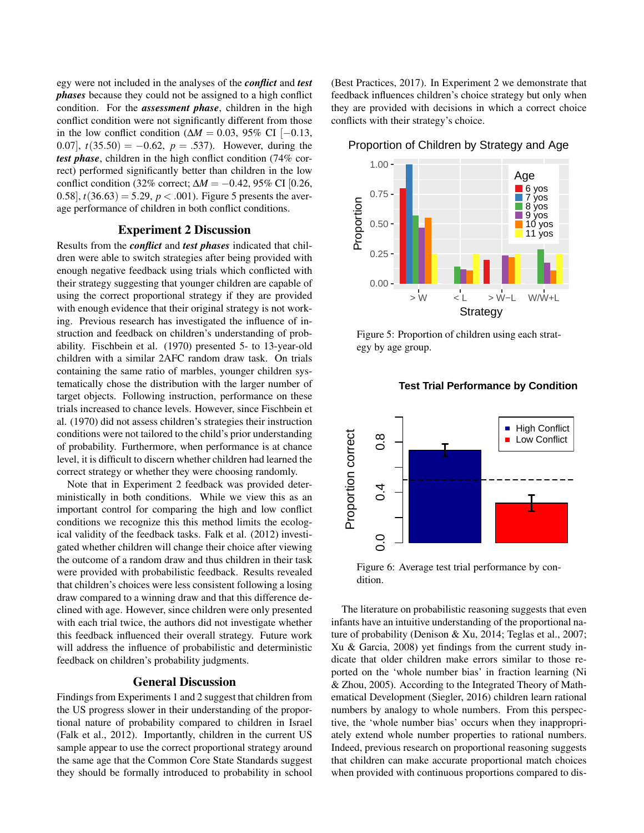egy were not included in the analyses of the *conflict* and *test phases* because they could not be assigned to a high conflict condition. For the *assessment phase*, children in the high conflict condition were not significantly different from those in the low conflict condition ( $\Delta M = 0.03$ , 95% CI [−0.13, 0.07],  $t(35.50) = -0.62$ ,  $p = .537$ . However, during the *test phase*, children in the high conflict condition (74% correct) performed significantly better than children in the low conflict condition (32% correct; ∆*M* = −0.42, 95% CI [0.26, 0.58],  $t(36.63) = 5.29$ ,  $p < .001$ ). Figure 5 presents the average performance of children in both conflict conditions.

# Experiment 2 Discussion

Results from the *conflict* and *test phases* indicated that children were able to switch strategies after being provided with enough negative feedback using trials which conflicted with their strategy suggesting that younger children are capable of using the correct proportional strategy if they are provided with enough evidence that their original strategy is not working. Previous research has investigated the influence of instruction and feedback on children's understanding of probability. Fischbein et al. (1970) presented 5- to 13-year-old children with a similar 2AFC random draw task. On trials containing the same ratio of marbles, younger children systematically chose the distribution with the larger number of target objects. Following instruction, performance on these trials increased to chance levels. However, since Fischbein et al. (1970) did not assess children's strategies their instruction conditions were not tailored to the child's prior understanding of probability. Furthermore, when performance is at chance level, it is difficult to discern whether children had learned the correct strategy or whether they were choosing randomly.

Note that in Experiment 2 feedback was provided deterministically in both conditions. While we view this as an important control for comparing the high and low conflict conditions we recognize this this method limits the ecological validity of the feedback tasks. Falk et al. (2012) investigated whether children will change their choice after viewing the outcome of a random draw and thus children in their task were provided with probabilistic feedback. Results revealed that children's choices were less consistent following a losing draw compared to a winning draw and that this difference declined with age. However, since children were only presented with each trial twice, the authors did not investigate whether this feedback influenced their overall strategy. Future work will address the influence of probabilistic and deterministic feedback on children's probability judgments.

### General Discussion

Findings from Experiments 1 and 2 suggest that children from the US progress slower in their understanding of the proportional nature of probability compared to children in Israel (Falk et al., 2012). Importantly, children in the current US sample appear to use the correct proportional strategy around the same age that the Common Core State Standards suggest they should be formally introduced to probability in school (Best Practices, 2017). In Experiment 2 we demonstrate that feedback influences children's choice strategy but only when they are provided with decisions in which a correct choice conflicts with their strategy's choice.

Proportion of Children by Strategy and Age



Figure 5: Proportion of children using each strategy by age group.



#### **Test Trial Performance by Condition**

Figure 6: Average test trial performance by condition.

The literature on probabilistic reasoning suggests that even infants have an intuitive understanding of the proportional nature of probability (Denison & Xu, 2014; Teglas et al., 2007; Xu & Garcia, 2008) yet findings from the current study indicate that older children make errors similar to those reported on the 'whole number bias' in fraction learning (Ni & Zhou, 2005). According to the Integrated Theory of Mathematical Development (Siegler, 2016) children learn rational numbers by analogy to whole numbers. From this perspective, the 'whole number bias' occurs when they inappropriately extend whole number properties to rational numbers. Indeed, previous research on proportional reasoning suggests that children can make accurate proportional match choices when provided with continuous proportions compared to dis